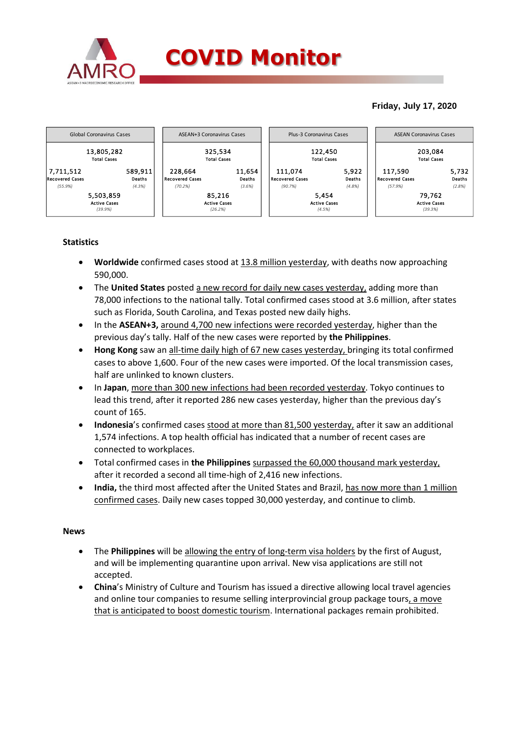

## **Friday, July 17, 2020**



# **Statistics**

- **Worldwide** confirmed cases stood at 13.8 million yesterday, with deaths now approaching 590,000.
- The **United States** posted a new record for daily new cases yesterday, adding more than 78,000 infections to the national tally. Total confirmed cases stood at 3.6 million, after states such as Florida, South Carolina, and Texas posted new daily highs.
- In the **ASEAN+3,** around 4,700 new infections were recorded yesterday, higher than the previous day's tally. Half of the new cases were reported by **the Philippines**.
- **Hong Kong** saw an all-time daily high of 67 new cases yesterday, bringing its total confirmed cases to above 1,600. Four of the new cases were imported. Of the local transmission cases, half are unlinked to known clusters.
- In **Japan**, more than 300 new infections had been recorded yesterday. Tokyo continues to lead this trend, after it reported 286 new cases yesterday, higher than the previous day's count of 165.
- **Indonesia**'s confirmed cases stood at more than 81,500 yesterday, after it saw an additional 1,574 infections. A top health official has indicated that a number of recent cases are connected to workplaces.
- Total confirmed cases in **the Philippines** surpassed the 60,000 thousand mark yesterday, after it recorded a second all time-high of 2,416 new infections.
- India, the third most affected after the United States and Brazil, has now more than 1 million confirmed cases. Daily new cases topped 30,000 yesterday, and continue to climb.

### **News**

- The **Philippines** will be allowing the entry of long-term visa holders by the first of August, and will be implementing quarantine upon arrival. New visa applications are still not accepted.
- **China**'s Ministry of Culture and Tourism has issued a directive allowing local travel agencies and online tour companies to resume selling interprovincial group package tours, a move that is anticipated to boost domestic tourism. International packages remain prohibited.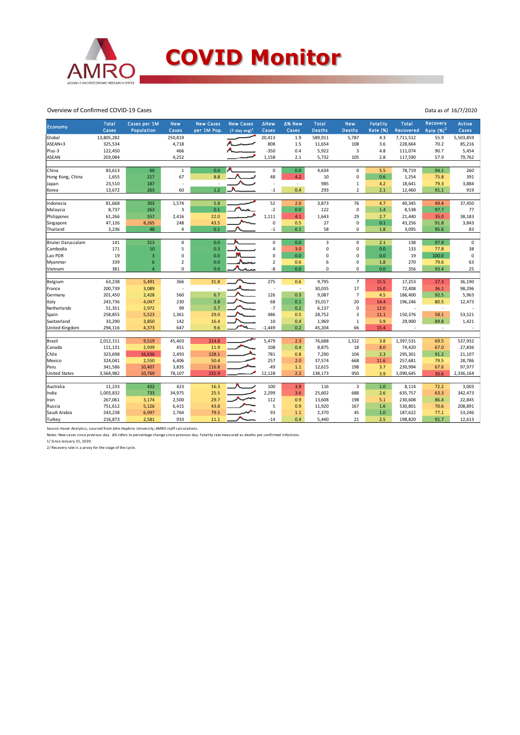

#### Overview of Confirmed COVID-19 Cases

| Economy               | Total<br>Cases | Cases per 1M<br>Population | <b>New</b><br>Cases      | <b>New Cases</b><br>per 1M Pop. | <b>New Cases</b><br>$(7$ -day avg) <sup>1</sup> | <b>ANew</b><br>Cases | ∆% New<br>Cases          | <b>Total</b><br><b>Deaths</b> | <b>New</b><br><b>Deaths</b> | <b>Fatality</b><br>Rate (%) | <b>Total</b><br>Recovered | Recovery<br>Rate $(\%)^2$ | <b>Active</b><br>Cases |
|-----------------------|----------------|----------------------------|--------------------------|---------------------------------|-------------------------------------------------|----------------------|--------------------------|-------------------------------|-----------------------------|-----------------------------|---------------------------|---------------------------|------------------------|
| Global                | 13,805,282     |                            | 250,819                  |                                 |                                                 | 20,413               | 1.9                      | 589,911                       | 5,787                       | 4.3                         | 7,711,512                 | 55.9                      | 5,503,859              |
| ASEAN+3               | 325,534        |                            | 4,718                    |                                 |                                                 | 808                  | 1.5                      | 11,654                        | 108                         | 3.6                         | 228,664                   | 70.2                      | 85,216                 |
| Plus-3                | 122,450        |                            | 466                      |                                 |                                                 | $-350$               | 0.4                      | 5,922                         | 3                           | 4.8                         | 111,074                   | 90.7                      | 5,454                  |
| <b>ASEAN</b>          | 203,084        |                            | 4,252                    |                                 |                                                 | 1,158                | 2.1                      | 5,732                         | 105                         | 2.8                         | 117,590                   | 57.9                      | 79,762                 |
|                       |                |                            |                          |                                 |                                                 |                      |                          |                               |                             |                             |                           |                           |                        |
| China                 | 83,613         | 60                         | $\mathbf 1$              | 0.0                             |                                                 | 0                    | 0.0                      | 4,634                         | 0                           | 5.5                         | 78,719                    | 94.1                      | 260                    |
| Hong Kong, China      | 1,655          | 217                        | 67                       | 8.8                             |                                                 | 48                   | 4.2                      | 10                            | $\mathbf 0$                 | 0.6                         | 1,254                     | 75.8                      | 391                    |
| Japan                 | 23,510         | 187                        |                          |                                 |                                                 |                      | $\overline{\phantom{a}}$ | 985                           | $\mathbf 1$                 | 4.2                         | 18,641                    | 79.3                      | 3,884                  |
| Korea                 | 13,672         | 263                        | 60                       | 1.2                             |                                                 | $^{\rm -1}$          | 0.4                      | 293                           | $\overline{2}$              | 2.1                         | 12,460                    | 91.1                      | 919                    |
|                       |                |                            |                          |                                 |                                                 |                      |                          |                               |                             |                             |                           |                           |                        |
| Indonesia             | 81,668         | 303                        | 1,574<br>$\overline{3}$  | 5.8<br>0.1                      |                                                 | 52<br>$-2$           | 2.0<br>0.0               | 3,873                         | 76                          | 4.7                         | 40,345                    | 49.4<br>97.7              | 37,450                 |
| Malaysia              | 8,737          | 263                        |                          |                                 |                                                 |                      |                          | 122                           | $\mathbf 0$                 | 1.4                         | 8,538                     |                           | 77                     |
| Philippines           | 61,266         | 557                        | 2,416                    | 22.0                            |                                                 | 1,111                | 4.1                      | 1,643                         | 29                          | 2.7                         | 21,440                    | 35.0                      | 38,183                 |
| Singapore             | 47,126         | 8,265                      | 248                      | 43.5                            |                                                 | 0                    | 0.5                      | 27                            | 0                           | 0.1                         | 43,256                    | 91.8                      | 3,843                  |
| Thailand              | 3,236          | 48                         | 4                        | 0.1                             |                                                 | $-1$                 | 0.1                      | 58                            | $\mathbf 0$                 | 1.8                         | 3,095                     | 95.6                      | 83                     |
| Brunei Darussalam     | 141            | 313                        | 0                        | 0.0                             |                                                 | 0                    | 0.0                      | 3                             | $\mathbf 0$                 | 2.1                         | 138                       | 97.9                      | $\mathbf 0$            |
| Cambodia              | 171            | $10\,$                     | 5                        | 0.3                             |                                                 | 4                    | 3.0                      | $\mathsf 0$                   | 0                           | 0.0                         | 133                       | 77.8                      | 38                     |
| Lao PDR               | 19             | 3                          | 0                        | 0.0                             |                                                 | $\Omega$             | 0.0                      | 0                             | 0                           | 0.0                         | 19                        | 100.0                     | $\mathbf 0$            |
| Myanmar               | 339            | 6                          | $\overline{2}$           | 0.0                             |                                                 | $\overline{2}$       | 0.6                      | 6                             | 0                           | 1.8                         | 270                       | 79.6                      | 63                     |
| Vietnam               | 381            | $\overline{a}$             | 0                        | 0.0                             |                                                 | -8                   | 0.0                      | $\Omega$                      | 0                           | 0.0                         | 356                       | 93.4                      | 25                     |
|                       |                |                            |                          |                                 |                                                 |                      |                          |                               |                             |                             |                           |                           |                        |
| Belgium               | 63,238         | 5,491                      | 366                      | 31.8                            |                                                 | 275                  | 0.6                      | 9,795                         | $\overline{7}$              | 15.5                        | 17,253                    | 27.3                      | 36,190                 |
| France                | 200,739        | 3,089                      | $\overline{\phantom{a}}$ |                                 |                                                 | $\overline{a}$       | J.                       | 30,035                        | 17                          | 15.0                        | 72,408                    | 36.1                      | 98,296                 |
| Germany               | 201,450        | 2,428                      | 560                      | 6.7                             |                                                 | 126                  | 0.3                      | 9,087                         | $\overline{7}$              | 4.5                         | 186,400                   | 92.5                      | 5,963                  |
| Italy                 | 243,736        | 4,047                      | 230                      | 3.8                             |                                                 | 68                   | 0.1                      | 35,017                        | 20                          | 14.4                        | 196,246                   | 80.5                      | 12,473                 |
| Netherlands           | 51,351         | 2,972                      | 99                       | 5.7                             |                                                 | $-7$                 | 0.2                      | 6,137                         | $\mathbf 0$                 | 12.0                        | J.                        | $\overline{\phantom{a}}$  |                        |
| Spain                 | 258,855        | 5,523                      | 1,361                    | 29.0                            |                                                 | 486                  | 0.5                      | 28,752                        | 3                           | 11.1                        | 150,376                   | 58.1                      | 53,521                 |
| Switzerland           | 33,290         | 3,850                      | 142                      | 16.4                            |                                                 | 10                   | 0.4                      | 1,969                         | $\mathbf 1$                 | 5.9                         | 29,900                    | 89.8                      | 1,421                  |
| <b>United Kingdom</b> | 294,116        | 4,373                      | 647                      | 9.6                             |                                                 | $-1,449$             | 0.2                      | 45,204                        | 66                          | 15.4                        |                           | ÷.                        |                        |
|                       |                |                            |                          |                                 |                                                 |                      |                          |                               |                             |                             |                           |                           |                        |
| Brazil                | 2,012,151      | 9,519                      | 45,403                   | 214.8                           |                                                 | 5,479                | 2.3                      | 76,688                        | 1,322                       | 3.8                         | 1,397,531                 | 69.5                      | 537,932                |
| Canada                | 111,131        | 2,939                      | 451                      | 11.9                            |                                                 | 108                  | 0.4                      | 8,875                         | 18                          | 8.0                         | 74,420                    | 67.0                      | 27,836                 |
| Chile                 | 323,698        | 16,636                     | 2,493                    | 128.1                           |                                                 | 781                  | 0.8                      | 7,290                         | 104                         | 2.3                         | 295,301                   | 91.2                      | 21,107                 |
| Mexico                | 324,041        | 2,550                      | 6,406                    | 50.4                            |                                                 | 257                  | 2.0                      | 37,574                        | 668                         | 11.6                        | 257,681                   | 79.5                      | 28,786                 |
| Peru                  | 341,586        | 10,407                     | 3,835                    | 116.8                           |                                                 | $-49$                | $1.1$                    | 12,615                        | 198                         | 3.7                         | 230,994                   | 67.6                      | 97,977                 |
| <b>United States</b>  | 3,564,982      | 10,769                     | 78,107                   | 235.9                           |                                                 | 12,128               | 2.2                      | 138,173                       | 950                         | 3.9                         | 1,090,645                 | 30.6                      | 2,336,164              |
| Australia             | 11,233         | 432                        | 423                      | 16.3                            |                                                 | 100                  | 3.9                      | 116                           | 3                           | $1.0\,$                     | 8,114                     | 72.2                      | 3,003                  |
| India                 | 1,003,832      | 733                        | 34,975                   | 25.5                            |                                                 | 2,299                | 3.6                      | 25,602                        | 688                         | 2.6                         | 635,757                   | 63.3                      | 342,473                |
|                       | 267,061        | 3,174                      | 2,500                    | 29.7                            |                                                 | 112                  | 0.9                      | 13,608                        | 198                         | 5.1                         | 230,608                   | 86.4                      | 22,845                 |
| Iran                  | 751,612        | 5,126                      |                          |                                 |                                                 | 5                    | 0.9                      |                               | 167                         |                             |                           |                           |                        |
| Russia                |                |                            | 6,415                    | 43.8                            |                                                 |                      |                          | 11,920                        |                             | 1.6                         | 530,801                   | 70.6                      | 208,891                |
| Saudi Arabia          | 243,238        | 6,997                      | 2,764                    | 79.5                            |                                                 | 93                   | 1.1                      | 2,370                         | 45                          | $1.0\,$                     | 187,622                   | 77.1                      | 53,246                 |
| Turkey                | 216,873        | 2,581                      | 933                      | 11.1                            |                                                 | $-14$                | 0.4                      | 5,440                         | 21                          | 2.5                         | 198,820                   | 91.7                      | 12,613                 |

Source: Haver Analytics, sourced from John Hopkins University; AMRO staff calculations.

Notes: New cases since previous day. ∆% refers to percentage change since previous day. Fatality rate measured as deaths per confirmed infections.<br>1/ Since January 31, 2020.<br>2/ Recovery rate is a proxy for the stage of the

Data as of 16/7/2020